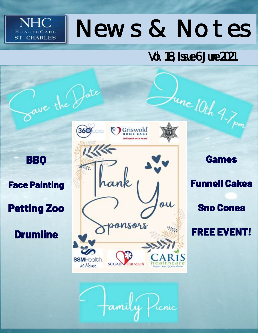# News & Notes

Vol. 18, Issue 6 June 2021

**BBQ** 

NHC

**ST. CHARLES** 

 $H<sub>F</sub>$ 

**Face Painting** 

**Petting Zoo** 

**Drumline** 



tte

**Funnell Cakes Sno Cones** 

**Games** 

**FREE EVENT!**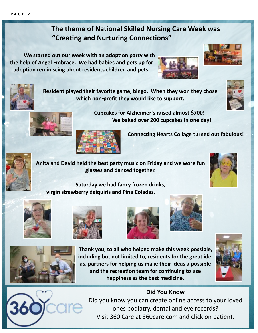#### **The theme of National Skilled Nursing Care Week was "Creating and Nurturing Connections"**

**Resident played their favorite game, bingo. When they won they chose which non-profit they would like to support.** 

**Cupcakes for Alzheimer's raised almost \$700!**

**We baked over 200 cupcakes in one day!** 

**We started out our week with an adoption party with the help of Angel Embrace. We had babies and pets up for adoption reminiscing about residents children and pets.** 













**Connecting Hearts Collage turned out fabulous!**

**Anita and David held the best party music on Friday and we wore fun glasses and danced together.**



**Saturday we had fancy frozen drinks, virgin strawberry daiquiris and Pina Coladas.** 











**Thank you, to all who helped make this week possible, including but not limited to, residents for the great ideas, partners for helping us make their ideas a possible and the recreation team for continuing to use happiness as the best medicine.** 





#### **Did You Know**

Did you know you can create online access to your loved ones podiatry, dental and eye records? Visit 360 Care at 360care.com and click on patient.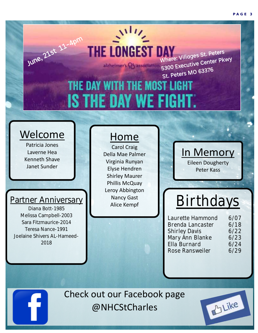## June, 21st 11-4pm Where: Villages St. PKWY<br>5300 Executive Center PKWY<br>5300 Executive Center PKWY 5300 Executive<br>St. Peters MO 63376 THE DAY WITH THE MOST LIGHT **IS THE DAY WE FIGHT.**

 $\mathcal{N}^{11}$ 

**THE LONGEST DAY** 

#### Welcome

Patricia Jones Laverne Hea Kenneth Shave Janet Sunder

#### Partner Anniversary

Diana Bott-1985 Melissa Campbell-2003 Sara Fitzmaurice-2014 Teresa Nance-1991 Joelaine Shivers AL-Hameed-2018

#### Home

Carol Craig Della Mae Palmer Virginia Runyan Elyse Hendren Shirley Maurer Phillis McQuay Leroy Abbington Nancy Gast

In Memory Eileen Dougherty Peter Kass

where: Villages St. Peters<br>Nhere: Villages St. Peter Pk

# Nancy Gast **Birthdays**

**Laurette Hammond 6/07 Brenda Lancaster 6/18 Shirley Davis 6/22 Mary Ann Blanke 6/23 Ella Burnard 6/24 Rose Ransweiler 6/29**

Check out our Facebook page @NHCStCharles